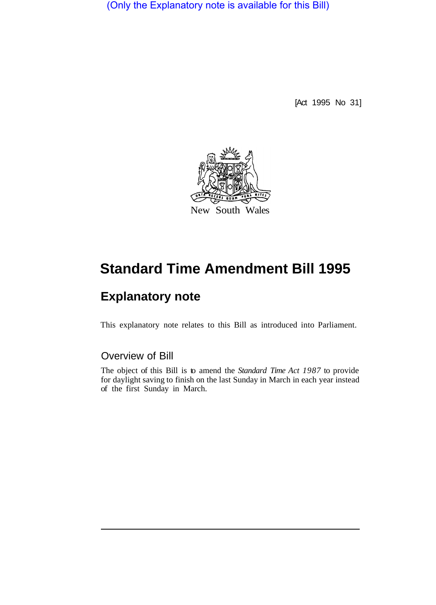(Only the Explanatory note is available for this Bill)

[Act 1995 No 31]



## **Standard Time Amendment Bill 1995**

## **Explanatory note**

This explanatory note relates to this Bill as introduced into Parliament.

## Overview of Bill

The object of this Bill is to amend the *Standard Time Act 1987* to provide for daylight saving to finish on the last Sunday in March in each year instead of the first Sunday in March.